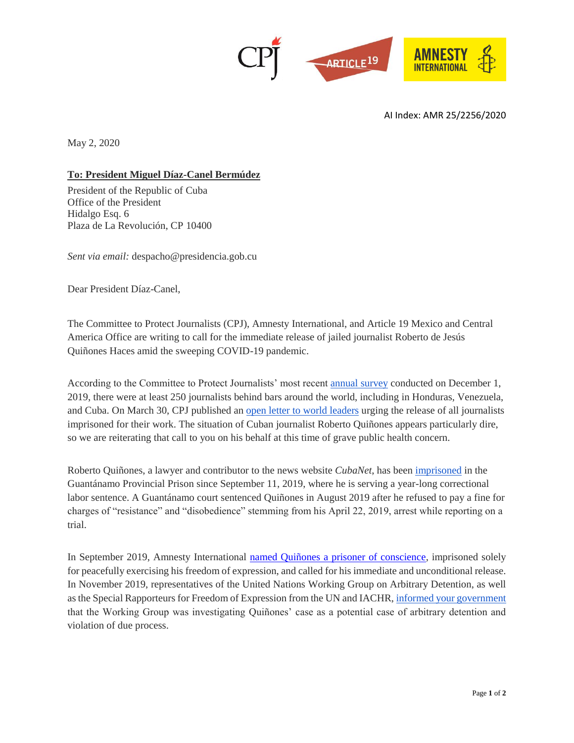

AI Index: AMR 25/2256/2020

May 2, 2020

## **To: President Miguel Díaz-Canel Bermúdez**

President of the Republic of Cuba Office of the President Hidalgo Esq. 6 Plaza de La Revolución, CP 10400

*Sent via email:* despacho@presidencia.gob.cu

Dear President Díaz-Canel,

The Committee to Protect Journalists (CPJ), Amnesty International, and Article 19 Mexico and Central America Office are writing to call for the immediate release of jailed journalist Roberto de Jesús Quiñones Haces amid the sweeping COVID-19 pandemic.

According to the Committee to Protect Journalists' most recent [annual survey](https://cpj.org/reports/2019/12/journalists-jailed-china-turkey-saudi-arabia-egypt.php) conducted on December 1, 2019, there were at least 250 journalists behind bars around the world, including in Honduras, Venezuela, and Cuba. On March 30, CPJ published an [open letter to world leaders](https://cpj.org/2020/03/release-all-jailed-journalists-now.php) urging the release of all journalists imprisoned for their work. The situation of Cuban journalist Roberto Quiñones appears particularly dire, so we are reiterating that call to you on his behalf at this time of grave public health concern.

Roberto Quiñones, a lawyer and contributor to the news website *CubaNet*, has been [imprisoned](https://cpj.org/data/people/roberto-jesus-quinones/index.php) in the Guantánamo Provincial Prison since September 11, 2019, where he is serving a year-long correctional labor sentence. A Guantánamo court sentenced Quiñones in August 2019 after he refused to pay a fine for charges of "resistance" and "disobedience" stemming from his April 22, 2019, arrest while reporting on a trial.

In September 2019, Amnesty International [named Quiñones a prisoner of conscience,](https://www.amnesty.org/en/documents/amr25/1047/2019/en/) imprisoned solely for peacefully exercising his freedom of expression, and called for his immediate and unconditional release. In November 2019, representatives of the United Nations Working Group on Arbitrary Detention, as well as the Special Rapporteurs for Freedom of Expression from the UN and IACHR[, informed your government](https://spcommreports.ohchr.org/TMResultsBase/DownLoadPublicCommunicationFile?gId=24933) that the Working Group was investigating Quiñones' case as a potential case of arbitrary detention and violation of due process.